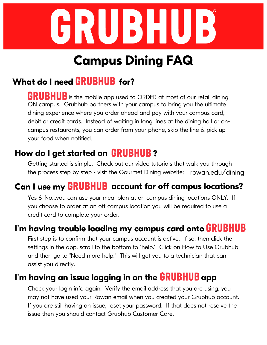

# **Campus Dining FAQ**

## **What do I need for?**

**GRUBHUB** is the mobile app used to ORDER at most of our retail dining ON campus. Grubhub partners with your campus to bring you the ultimate dining experience where you order ahead and pay with your campus card, debit or credit cards. Instead of waiting in long lines at the dining hall or oncampus restaurants, you can order from your phone, skip the line & pick up your food when notified.

### **How do I get started on ?**

Getting started is simple. Check out our video tutorials that walk you through the process step by step - visit the Gourmet Dining website; rowan.edu/dining

## **Can I use my account for off campus locations?**

Yes & No...you can use your meal plan at on campus dining locations ONLY. If you choose to order at an off campus location you will be required to use a credit card to complete your order.

#### **I'm having trouble loading my campus card onto**

First step is to confirm that your campus account is active. If so, then click the settings in the app, scroll to the bottom to "help." Click on How to Use Grubhub and then go to "Need more help." This will get you to a technician that can assist you directly.

#### **I'm having an issue logging in on the app**

Check your login info again. Verify the email address that you are using, you may not have used your Rowan email when you created your Grubhub account. If you are still having an issue, reset your password. If that does not resolve the issue then you should contact Grubhub Customer Care.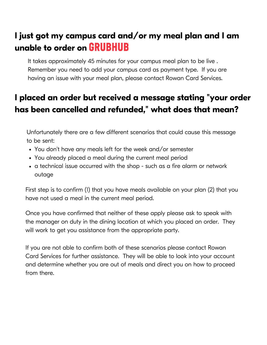### **I just got my campus card and/or my meal plan and I am unable to order on**

It takes approximately 45 minutes for your campus meal plan to be live . Remember you need to add your campus card as payment type. If you are having an issue with your meal plan, please contact Rowan Card Services.

### **I placed an order but received a message stating "your order has been cancelled and refunded, " what does that mean?**

Unfortunately there are a few different scenarios that could cause this message to be sent:

- You don't have any meals left for the week and/or semester
- You already placed a meal during the current meal period
- a technical issue occurred with the shop such as a fire alarm or network outage

First step is to confirm (1) that you have meals available on your plan (2) that you have not used a meal in the current meal period.

Once you have confirmed that neither of these apply please ask to speak with the manager on duty in the dining location at which you placed an order. They will work to get you assistance from the appropriate party.

If you are not able to confirm both of these scenarios please contact Rowan Card Services for further assistance. They will be able to look into your account and determine whether you are out of meals and direct you on how to proceed from there.